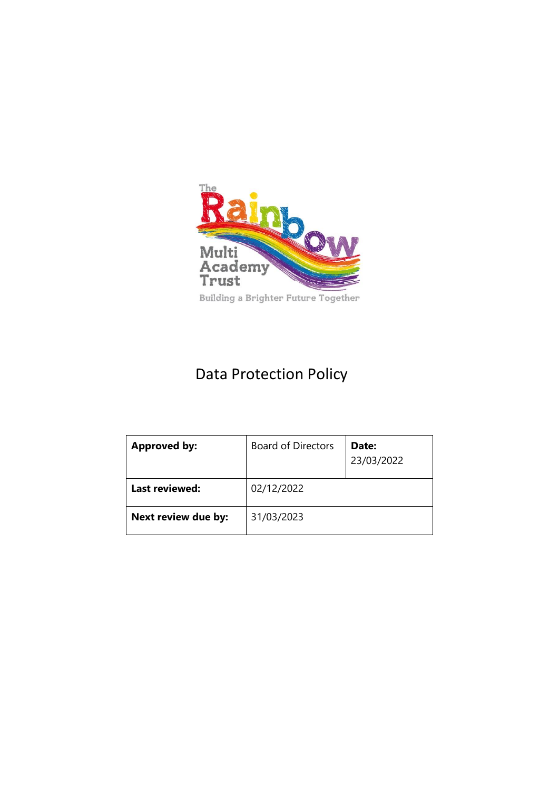

# Data Protection Policy

| <b>Approved by:</b> | <b>Board of Directors</b> | Date:<br>23/03/2022 |
|---------------------|---------------------------|---------------------|
| Last reviewed:      | 02/12/2022                |                     |
| Next review due by: | 31/03/2023                |                     |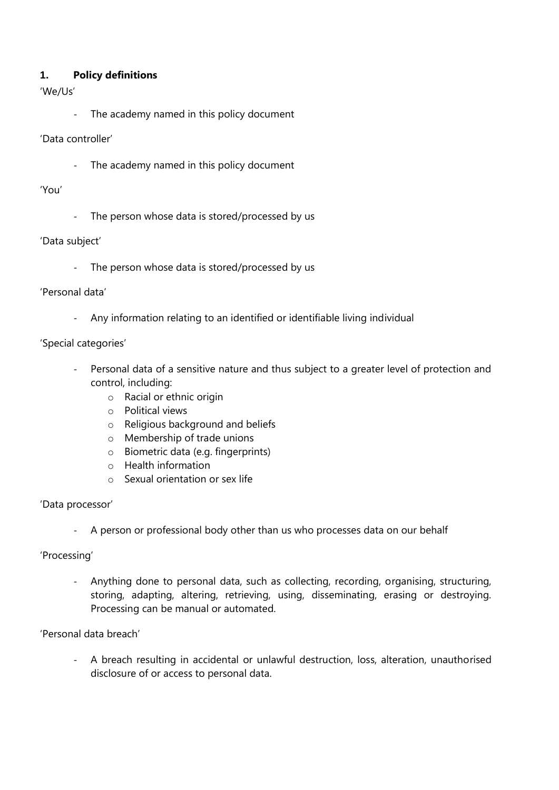#### **1. Policy definitions**

## 'We/Us'

The academy named in this policy document

#### 'Data controller'

- The academy named in this policy document

#### 'You'

- The person whose data is stored/processed by us

#### 'Data subject'

The person whose data is stored/processed by us

#### 'Personal data'

- Any information relating to an identified or identifiable living individual

#### 'Special categories'

- Personal data of a sensitive nature and thus subject to a greater level of protection and control, including:
	- o Racial or ethnic origin
	- o Political views
	- o Religious background and beliefs
	- o Membership of trade unions
	- o Biometric data (e.g. fingerprints)
	- o Health information
	- o Sexual orientation or sex life

#### 'Data processor'

A person or professional body other than us who processes data on our behalf

#### 'Processing'

- Anything done to personal data, such as collecting, recording, organising, structuring, storing, adapting, altering, retrieving, using, disseminating, erasing or destroying. Processing can be manual or automated.

## 'Personal data breach'

- A breach resulting in accidental or unlawful destruction, loss, alteration, unauthorised disclosure of or access to personal data.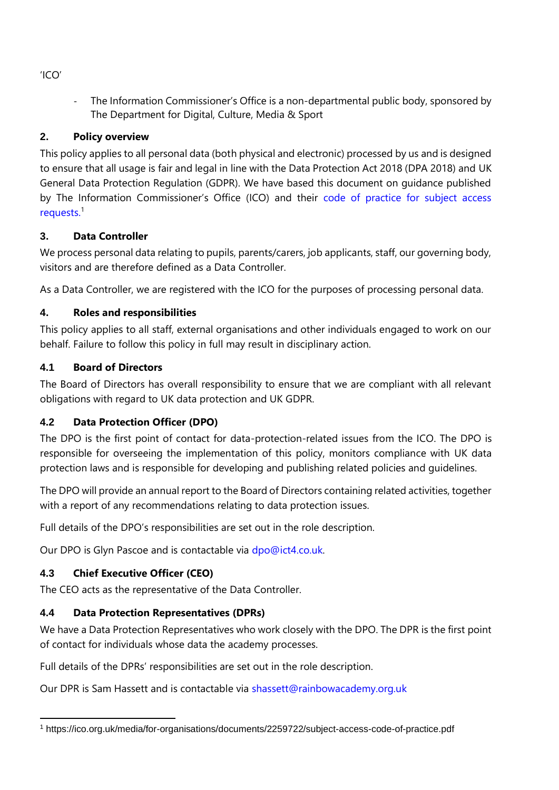The Information Commissioner's Office is a non-departmental public body, sponsored by The Department for Digital, Culture, Media & Sport

# **2. Policy overview**

This policy applies to all personal data (both physical and electronic) processed by us and is designed to ensure that all usage is fair and legal in line with the Data Protection Act 2018 (DPA 2018) and UK General Data Protection Regulation (GDPR). We have based this document on guidance published by The Information Commissioner's Office (ICO) and their [code of practice for subject access](https://ico.org.uk/media/for-organisations/documents/2259722/subject-access-code-of-practice.pdf)  [requests.](https://ico.org.uk/media/for-organisations/documents/2259722/subject-access-code-of-practice.pdf)<sup>1</sup>

# **3. Data Controller**

We process personal data relating to pupils, parents/carers, job applicants, staff, our governing body, visitors and are therefore defined as a Data Controller.

As a Data Controller, we are registered with the ICO for the purposes of processing personal data.

# **4. Roles and responsibilities**

This policy applies to all staff, external organisations and other individuals engaged to work on our behalf. Failure to follow this policy in full may result in disciplinary action.

# **4.1 Board of Directors**

The Board of Directors has overall responsibility to ensure that we are compliant with all relevant obligations with regard to UK data protection and UK GDPR.

# **4.2 Data Protection Officer (DPO)**

The DPO is the first point of contact for data-protection-related issues from the ICO. The DPO is responsible for overseeing the implementation of this policy, monitors compliance with UK data protection laws and is responsible for developing and publishing related policies and guidelines.

The DPO will provide an annual report to the Board of Directors containing related activities, together with a report of any recommendations relating to data protection issues.

Full details of the DPO's responsibilities are set out in the role description.

Our DPO is Glyn Pascoe and is contactable via [dpo@ict4.co.uk.](mailto:dpo@ict4.co.uk)

# **4.3 Chief Executive Officer (CEO)**

The CEO acts as the representative of the Data Controller.

# **4.4 Data Protection Representatives (DPRs)**

We have a Data Protection Representatives who work closely with the DPO. The DPR is the first point of contact for individuals whose data the academy processes.

Full details of the DPRs' responsibilities are set out in the role description.

Our DPR is Sam Hassett and is contactable via [shassett@rainbowacademy.org.uk](mailto:shassett@rainbowacademy.org.uk)

'ICO'

<sup>1</sup> https://ico.org.uk/media/for-organisations/documents/2259722/subject-access-code-of-practice.pdf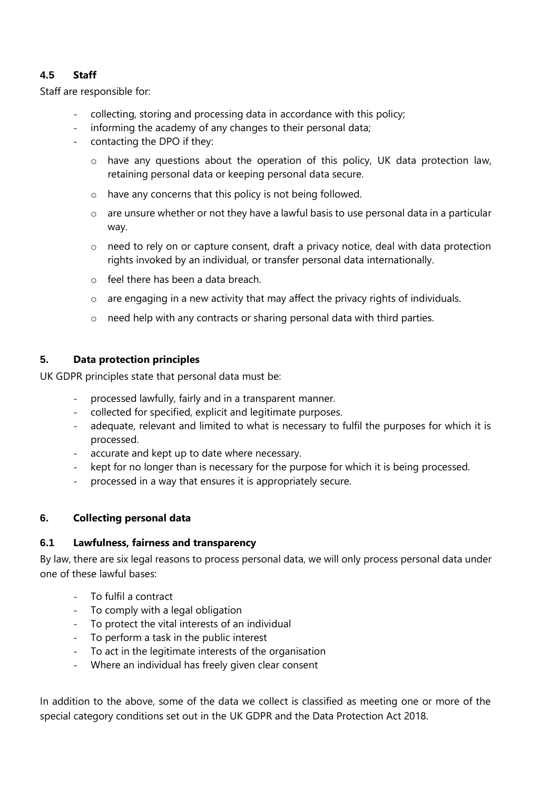# **4.5 Staff**

Staff are responsible for:

- collecting, storing and processing data in accordance with this policy;
- informing the academy of any changes to their personal data;
- contacting the DPO if they:
	- o have any questions about the operation of this policy, UK data protection law, retaining personal data or keeping personal data secure.
	- o have any concerns that this policy is not being followed.
	- o are unsure whether or not they have a lawful basis to use personal data in a particular way.
	- o need to rely on or capture consent, draft a privacy notice, deal with data protection rights invoked by an individual, or transfer personal data internationally.
	- o feel there has been a data breach.
	- o are engaging in a new activity that may affect the privacy rights of individuals.
	- o need help with any contracts or sharing personal data with third parties.

## **5. Data protection principles**

UK GDPR principles state that personal data must be:

- processed lawfully, fairly and in a transparent manner.
- collected for specified, explicit and legitimate purposes.
- adequate, relevant and limited to what is necessary to fulfil the purposes for which it is processed.
- accurate and kept up to date where necessary.
- kept for no longer than is necessary for the purpose for which it is being processed.
- processed in a way that ensures it is appropriately secure.

#### **6. Collecting personal data**

#### **6.1 Lawfulness, fairness and transparency**

By law, there are six legal reasons to process personal data, we will only process personal data under one of these lawful bases:

- To fulfil a contract
- To comply with a legal obligation
- To protect the vital interests of an individual
- To perform a task in the public interest
- To act in the legitimate interests of the organisation
- Where an individual has freely given clear consent

In addition to the above, some of the data we collect is classified as meeting one or more of the special category conditions set out in the UK GDPR and the Data Protection Act 2018.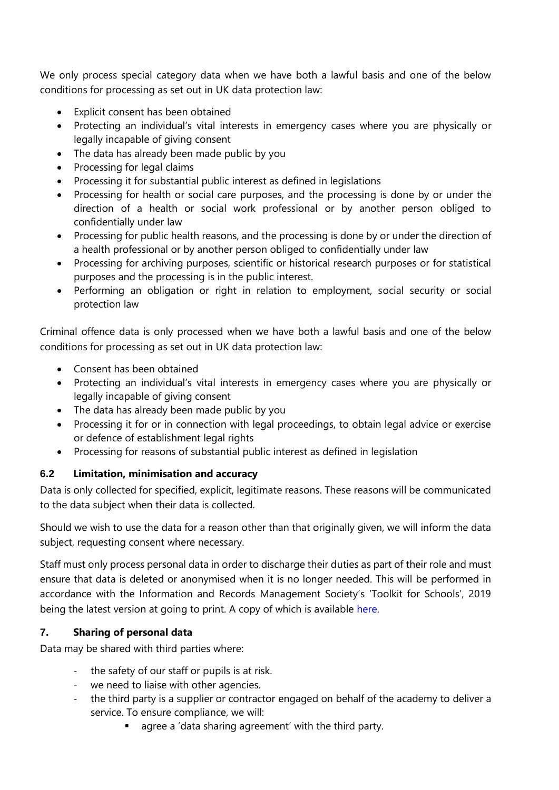We only process special category data when we have both a lawful basis and one of the below conditions for processing as set out in UK data protection law:

- Explicit consent has been obtained
- Protecting an individual's vital interests in emergency cases where you are physically or legally incapable of giving consent
- The data has already been made public by you
- Processing for legal claims
- Processing it for substantial public interest as defined in legislations
- Processing for health or social care purposes, and the processing is done by or under the direction of a health or social work professional or by another person obliged to confidentially under law
- Processing for public health reasons, and the processing is done by or under the direction of a health professional or by another person obliged to confidentially under law
- Processing for archiving purposes, scientific or historical research purposes or for statistical purposes and the processing is in the public interest.
- Performing an obligation or right in relation to employment, social security or social protection law

Criminal offence data is only processed when we have both a lawful basis and one of the below conditions for processing as set out in UK data protection law:

- Consent has been obtained
- Protecting an individual's vital interests in emergency cases where you are physically or legally incapable of giving consent
- The data has already been made public by you
- Processing it for or in connection with legal proceedings, to obtain legal advice or exercise or defence of establishment legal rights
- Processing for reasons of substantial public interest as defined in legislation

#### **6.2 Limitation, minimisation and accuracy**

Data is only collected for specified, explicit, legitimate reasons. These reasons will be communicated to the data subject when their data is collected.

Should we wish to use the data for a reason other than that originally given, we will inform the data subject, requesting consent where necessary.

Staff must only process personal data in order to discharge their duties as part of their role and must ensure that data is deleted or anonymised when it is no longer needed. This will be performed in accordance with the Information and Records Management Society's 'Toolkit for Schools', 2019 being the latest version at going to print. A copy of which is available [here.](https://irms.org.uk/page/SchoolsToolkit)

#### **7. Sharing of personal data**

Data may be shared with third parties where:

- the safety of our staff or pupils is at risk.
- we need to liaise with other agencies.
- the third party is a supplier or contractor engaged on behalf of the academy to deliver a service. To ensure compliance, we will:
	- agree a 'data sharing agreement' with the third party.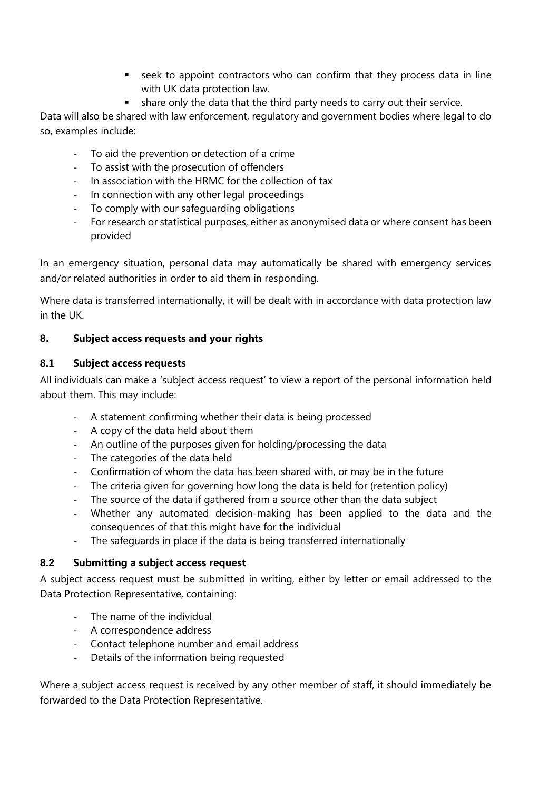- seek to appoint contractors who can confirm that they process data in line with UK data protection law.
- **•** share only the data that the third party needs to carry out their service.

Data will also be shared with law enforcement, regulatory and government bodies where legal to do so, examples include:

- To aid the prevention or detection of a crime
- To assist with the prosecution of offenders
- In association with the HRMC for the collection of tax
- In connection with any other legal proceedings
- To comply with our safeguarding obligations
- For research or statistical purposes, either as anonymised data or where consent has been provided

In an emergency situation, personal data may automatically be shared with emergency services and/or related authorities in order to aid them in responding.

Where data is transferred internationally, it will be dealt with in accordance with data protection law in the UK.

## **8. Subject access requests and your rights**

#### **8.1 Subject access requests**

All individuals can make a 'subject access request' to view a report of the personal information held about them. This may include:

- A statement confirming whether their data is being processed
- A copy of the data held about them
- An outline of the purposes given for holding/processing the data
- The categories of the data held
- Confirmation of whom the data has been shared with, or may be in the future
- The criteria given for governing how long the data is held for (retention policy)
- The source of the data if gathered from a source other than the data subject
- Whether any automated decision-making has been applied to the data and the consequences of that this might have for the individual
- The safeguards in place if the data is being transferred internationally

#### **8.2 Submitting a subject access request**

A subject access request must be submitted in writing, either by letter or email addressed to the Data Protection Representative, containing:

- The name of the individual
- A correspondence address
- Contact telephone number and email address
- Details of the information being requested

Where a subject access request is received by any other member of staff, it should immediately be forwarded to the Data Protection Representative.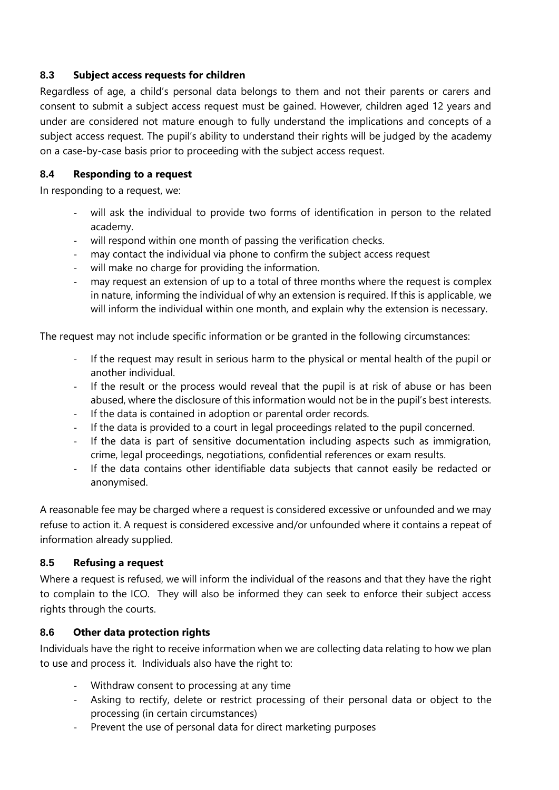## **8.3 Subject access requests for children**

Regardless of age, a child's personal data belongs to them and not their parents or carers and consent to submit a subject access request must be gained. However, children aged 12 years and under are considered not mature enough to fully understand the implications and concepts of a subject access request. The pupil's ability to understand their rights will be judged by the academy on a case-by-case basis prior to proceeding with the subject access request.

## **8.4 Responding to a request**

In responding to a request, we:

- will ask the individual to provide two forms of identification in person to the related academy.
- will respond within one month of passing the verification checks.
- may contact the individual via phone to confirm the subject access request
- will make no charge for providing the information.
- may request an extension of up to a total of three months where the request is complex in nature, informing the individual of why an extension is required. If this is applicable, we will inform the individual within one month, and explain why the extension is necessary.

The request may not include specific information or be granted in the following circumstances:

- If the request may result in serious harm to the physical or mental health of the pupil or another individual.
- If the result or the process would reveal that the pupil is at risk of abuse or has been abused, where the disclosure of this information would not be in the pupil's best interests.
- If the data is contained in adoption or parental order records.
- If the data is provided to a court in legal proceedings related to the pupil concerned.
- If the data is part of sensitive documentation including aspects such as immigration, crime, legal proceedings, negotiations, confidential references or exam results.
- If the data contains other identifiable data subjects that cannot easily be redacted or anonymised.

A reasonable fee may be charged where a request is considered excessive or unfounded and we may refuse to action it. A request is considered excessive and/or unfounded where it contains a repeat of information already supplied.

# **8.5 Refusing a request**

Where a request is refused, we will inform the individual of the reasons and that they have the right to complain to the ICO. They will also be informed they can seek to enforce their subject access rights through the courts.

# **8.6 Other data protection rights**

Individuals have the right to receive information when we are collecting data relating to how we plan to use and process it. Individuals also have the right to:

- Withdraw consent to processing at any time
- Asking to rectify, delete or restrict processing of their personal data or object to the processing (in certain circumstances)
- Prevent the use of personal data for direct marketing purposes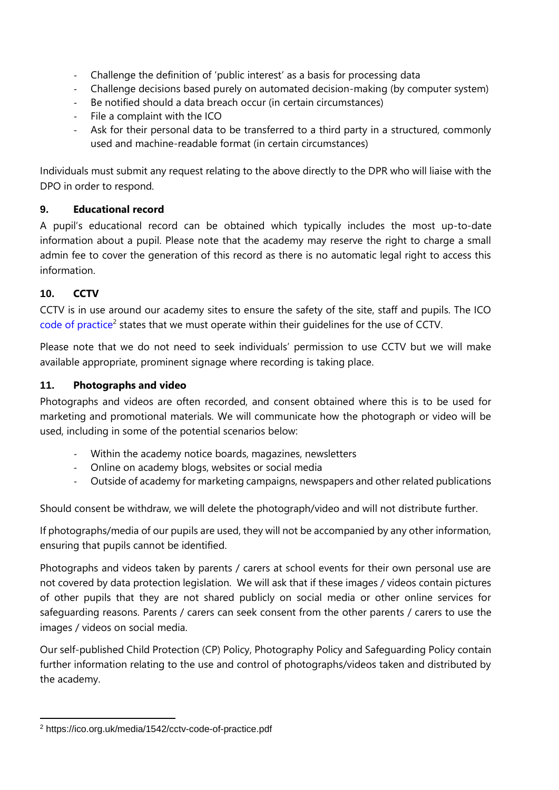- Challenge the definition of 'public interest' as a basis for processing data
- Challenge decisions based purely on automated decision-making (by computer system)
- Be notified should a data breach occur (in certain circumstances)
- File a complaint with the ICO
- Ask for their personal data to be transferred to a third party in a structured, commonly used and machine-readable format (in certain circumstances)

Individuals must submit any request relating to the above directly to the DPR who will liaise with the DPO in order to respond.

## **9. Educational record**

A pupil's educational record can be obtained which typically includes the most up-to-date information about a pupil. Please note that the academy may reserve the right to charge a small admin fee to cover the generation of this record as there is no automatic legal right to access this information.

# **10. CCTV**

CCTV is in use around our academy sites to ensure the safety of the site, staff and pupils. The ICO [code of practice](https://ico.org.uk/media/1542/cctv-code-of-practice.pdf)<sup>2</sup> states that we must operate within their guidelines for the use of CCTV.

Please note that we do not need to seek individuals' permission to use CCTV but we will make available appropriate, prominent signage where recording is taking place.

## **11. Photographs and video**

Photographs and videos are often recorded, and consent obtained where this is to be used for marketing and promotional materials. We will communicate how the photograph or video will be used, including in some of the potential scenarios below:

- Within the academy notice boards, magazines, newsletters
- Online on academy blogs, websites or social media
- Outside of academy for marketing campaigns, newspapers and other related publications

Should consent be withdraw, we will delete the photograph/video and will not distribute further.

If photographs/media of our pupils are used, they will not be accompanied by any other information, ensuring that pupils cannot be identified.

Photographs and videos taken by parents / carers at school events for their own personal use are not covered by data protection legislation. We will ask that if these images / videos contain pictures of other pupils that they are not shared publicly on social media or other online services for safeguarding reasons. Parents / carers can seek consent from the other parents / carers to use the images / videos on social media.

Our self-published Child Protection (CP) Policy, Photography Policy and Safeguarding Policy contain further information relating to the use and control of photographs/videos taken and distributed by the academy.

<sup>2</sup> https://ico.org.uk/media/1542/cctv-code-of-practice.pdf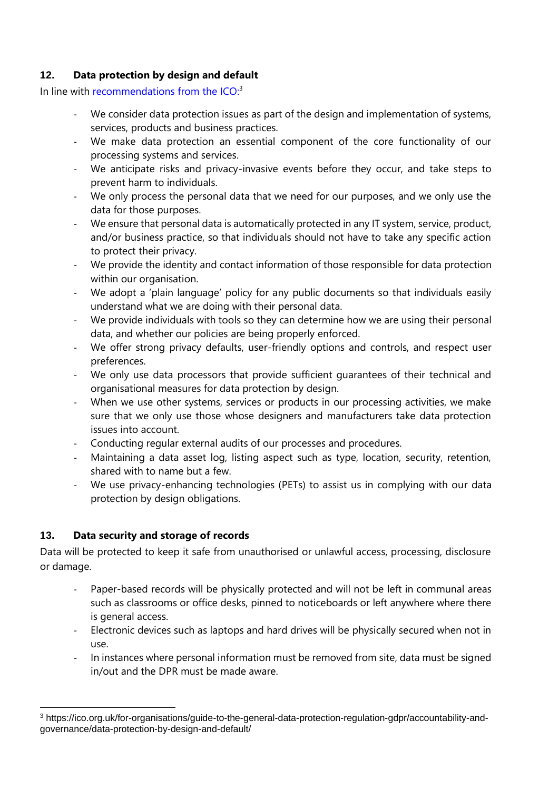# **12. Data protection by design and default**

In line with recommendations from the  $ICO<sup>3</sup>$ 

- We consider data protection issues as part of the design and implementation of systems, services, products and business practices.
- We make data protection an essential component of the core functionality of our processing systems and services.
- We anticipate risks and privacy-invasive events before they occur, and take steps to prevent harm to individuals.
- We only process the personal data that we need for our purposes, and we only use the data for those purposes.
- We ensure that personal data is automatically protected in any IT system, service, product, and/or business practice, so that individuals should not have to take any specific action to protect their privacy.
- We provide the identity and contact information of those responsible for data protection within our organisation.
- We adopt a 'plain language' policy for any public documents so that individuals easily understand what we are doing with their personal data.
- We provide individuals with tools so they can determine how we are using their personal data, and whether our policies are being properly enforced.
- We offer strong privacy defaults, user-friendly options and controls, and respect user preferences.
- We only use data processors that provide sufficient guarantees of their technical and organisational measures for data protection by design.
- When we use other systems, services or products in our processing activities, we make sure that we only use those whose designers and manufacturers take data protection issues into account.
- Conducting regular external audits of our processes and procedures.
- Maintaining a data asset log, listing aspect such as type, location, security, retention, shared with to name but a few.
- We use privacy-enhancing technologies (PETs) to assist us in complying with our data protection by design obligations.

# **13. Data security and storage of records**

Data will be protected to keep it safe from unauthorised or unlawful access, processing, disclosure or damage.

- Paper-based records will be physically protected and will not be left in communal areas such as classrooms or office desks, pinned to noticeboards or left anywhere where there is general access.
- Electronic devices such as laptops and hard drives will be physically secured when not in use.
- In instances where personal information must be removed from site, data must be signed in/out and the DPR must be made aware.

<sup>3</sup> https://ico.org.uk/for-organisations/guide-to-the-general-data-protection-regulation-gdpr/accountability-andgovernance/data-protection-by-design-and-default/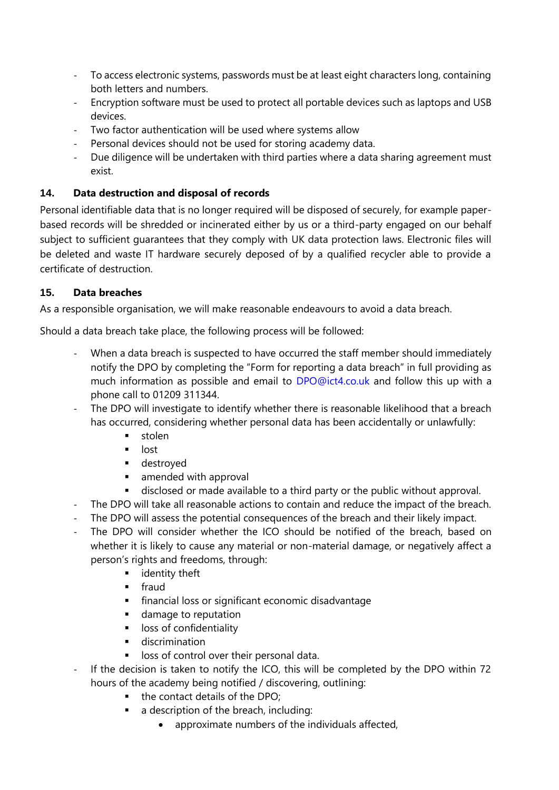- To access electronic systems, passwords must be at least eight characters long, containing both letters and numbers.
- Encryption software must be used to protect all portable devices such as laptops and USB devices.
- Two factor authentication will be used where systems allow
- Personal devices should not be used for storing academy data.
- Due diligence will be undertaken with third parties where a data sharing agreement must exist.

# **14. Data destruction and disposal of records**

Personal identifiable data that is no longer required will be disposed of securely, for example paperbased records will be shredded or incinerated either by us or a third-party engaged on our behalf subject to sufficient guarantees that they comply with UK data protection laws. Electronic files will be deleted and waste IT hardware securely deposed of by a qualified recycler able to provide a certificate of destruction.

## **15. Data breaches**

As a responsible organisation, we will make reasonable endeavours to avoid a data breach.

Should a data breach take place, the following process will be followed:

- When a data breach is suspected to have occurred the staff member should immediately notify the DPO by completing the "Form for reporting a data breach" in full providing as much information as possible and email to [DPO@ict4.co.uk](mailto:DPO@ict4.co.uk) and follow this up with a phone call to 01209 311344.
- The DPO will investigate to identify whether there is reasonable likelihood that a breach has occurred, considering whether personal data has been accidentally or unlawfully:
	- stolen
	- lost
	- destroyed
	- amended with approval
	- disclosed or made available to a third party or the public without approval.
- The DPO will take all reasonable actions to contain and reduce the impact of the breach.
- The DPO will assess the potential consequences of the breach and their likely impact.
- The DPO will consider whether the ICO should be notified of the breach, based on whether it is likely to cause any material or non-material damage, or negatively affect a person's rights and freedoms, through:
	- **■** identity theft
	- fraud
	- **•** financial loss or significant economic disadvantage
	- damage to reputation
	- loss of confidentiality
	- **■** discrimination
	- loss of control over their personal data.
- If the decision is taken to notify the ICO, this will be completed by the DPO within 72 hours of the academy being notified / discovering, outlining:
	- the contact details of the DPO;
	- a description of the breach, including:
		- approximate numbers of the individuals affected,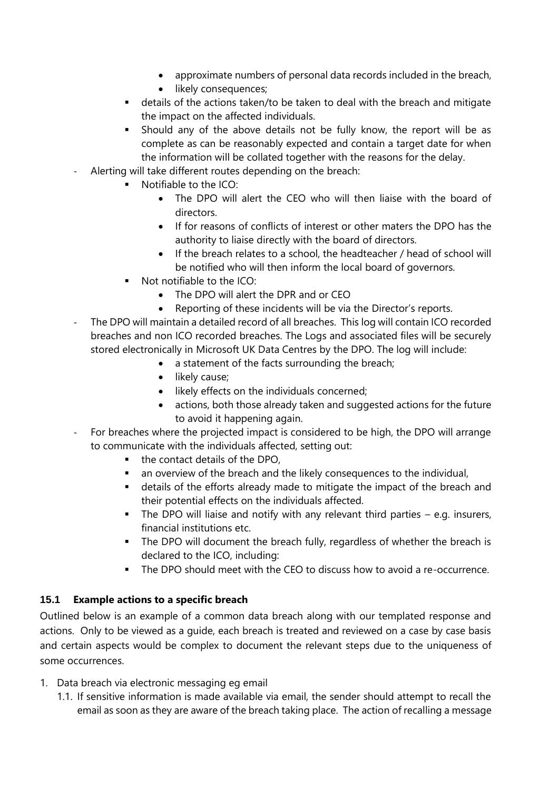- approximate numbers of personal data records included in the breach,
- likely consequences;
- details of the actions taken/to be taken to deal with the breach and mitigate the impact on the affected individuals.
- Should any of the above details not be fully know, the report will be as complete as can be reasonably expected and contain a target date for when the information will be collated together with the reasons for the delay.
- Alerting will take different routes depending on the breach:
	- Notifiable to the ICO:
		- The DPO will alert the CEO who will then liaise with the board of directors.
		- If for reasons of conflicts of interest or other maters the DPO has the authority to liaise directly with the board of directors.
		- If the breach relates to a school, the headteacher / head of school will be notified who will then inform the local board of governors.
	- Not notifiable to the ICO:
		- The DPO will alert the DPR and or CEO
		- Reporting of these incidents will be via the Director's reports.
- The DPO will maintain a detailed record of all breaches. This log will contain ICO recorded breaches and non ICO recorded breaches. The Logs and associated files will be securely stored electronically in Microsoft UK Data Centres by the DPO. The log will include:
	- a statement of the facts surrounding the breach;
	- likely cause;
	- likely effects on the individuals concerned;
	- actions, both those already taken and suggested actions for the future to avoid it happening again.
- For breaches where the projected impact is considered to be high, the DPO will arrange to communicate with the individuals affected, setting out:
	- the contact details of the DPO.
	- an overview of the breach and the likely consequences to the individual,
	- **■** details of the efforts already made to mitigate the impact of the breach and their potential effects on the individuals affected.
	- The DPO will liaise and notify with any relevant third parties e.g. insurers, financial institutions etc.
	- **•** The DPO will document the breach fully, regardless of whether the breach is declared to the ICO, including:
	- The DPO should meet with the CEO to discuss how to avoid a re-occurrence.

#### **15.1 Example actions to a specific breach**

Outlined below is an example of a common data breach along with our templated response and actions. Only to be viewed as a guide, each breach is treated and reviewed on a case by case basis and certain aspects would be complex to document the relevant steps due to the uniqueness of some occurrences.

- 1. Data breach via electronic messaging eg email
	- 1.1. If sensitive information is made available via email, the sender should attempt to recall the email as soon as they are aware of the breach taking place. The action of recalling a message